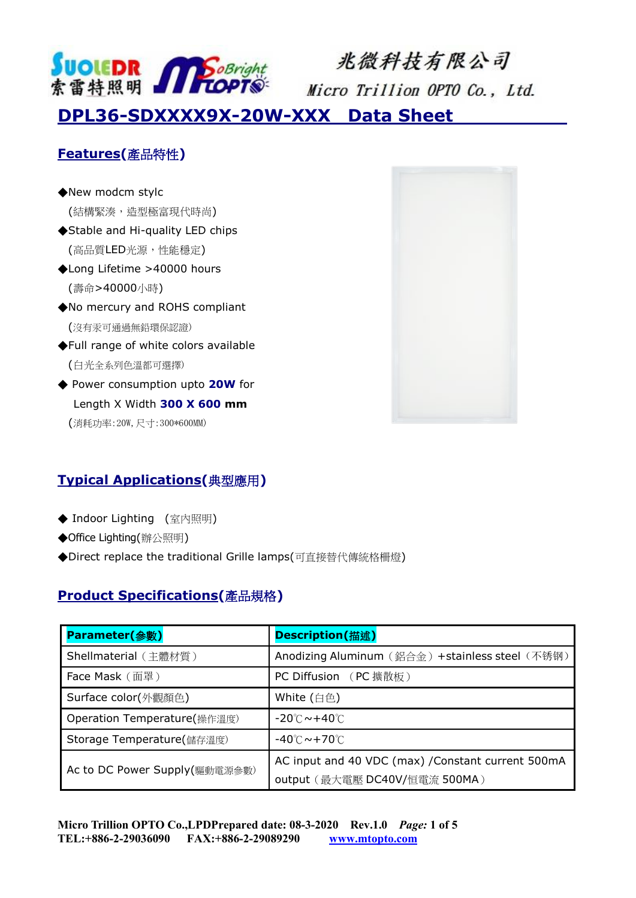

# 兆微科技有限公司

Micro Trillion OPTO Co., Ltd.

**DPL36-SDXXXX9X-20W-XXX Data Sheet** 

### **Features(**產品特性**)**

- ◆New modcm stylc (結構緊湊,造型極富現代時尚) ◆Stable and Hi-quality LED chips (高品質LED光源,性能穩定)
- ◆Long Lifetime >40000 hours (壽命>40000小時)
- ◆No mercury and ROHS compliant (沒有汞可通過無鉛環保認證)
- ◆Full range of white colors available (白光全系列色溫都可選擇)
- ◆ Power consumption upto 20W for Length X Width **300 X 600 mm** (消耗功率:20W,尺寸:300\*600MM)



#### **Typical Applications(**典型應用**)**

- ◆ Indoor Lighting (室內照明)
- ◆Office Lighting(辦公照明)
- ◆Direct replace the traditional Grille lamps(可直接替代傳統格柵燈)

#### **Product Specifications(**產品規格**)**

| Parameter(参數)                 | Description(描述)                                    |
|-------------------------------|----------------------------------------------------|
| Shellmaterial (主體材質)          | Anodizing Aluminum (鋁合金) +stainless steel (不锈钢)    |
| Face Mask (面罩)                | PC Diffusion (PC 擴散板)                              |
| Surface color(外觀顏色)           | White (白色)                                         |
| Operation Temperature(操作溫度)   | $-20^{\circ}$ C $\sim$ +40 $^{\circ}$ C            |
| Storage Temperature(儲存溫度)     | $-40^{\circ}$ C $\sim$ +70 $^{\circ}$ C $\,$       |
| Ac to DC Power Supply(驅動電源參數) | AC input and 40 VDC (max) / Constant current 500mA |
|                               | output (最大電壓 DC40V/恒電流 500MA)                      |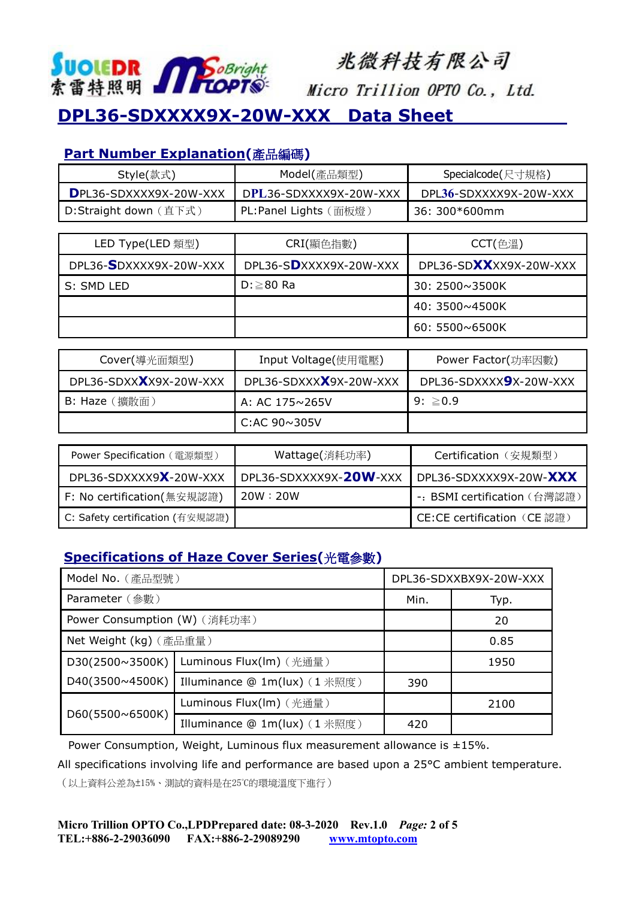

# 兆微科技有限公司

Micro Trillion OPTO Co., Ltd.

# **DPL36-SDXXXX9X-20W-XXX Data Sheet**

#### **Part Number Explanation(**產品編碼**)**

| Style(款式)              | Model(產品類型)            | Specialcode(尺寸規格)      |  |
|------------------------|------------------------|------------------------|--|
| DPL36-SDXXXX9X-20W-XXX | DPL36-SDXXXX9X-20W-XXX | DPL36-SDXXXX9X-20W-XXX |  |
| D:Straight down (直下式)  | PL:Panel Lights (面板燈)  | 36: 300*600mm          |  |

| LED Type(LED 類型)       | CRI(顯色指數)              | $CCT(\hat{\theta}$ 溫   |  |
|------------------------|------------------------|------------------------|--|
| DPL36-SDXXXX9X-20W-XXX | DPL36-SDXXXX9X-20W-XXX | DPL36-SDXXXX9X-20W-XXX |  |
| S: SMD LED             | $D: \geq 80$ Ra        | 30: 2500~3500K         |  |
|                        |                        | 40: 3500~4500K         |  |
|                        |                        | $60:5500\sim 6500K$    |  |

| Cover(導光面類型)           | Input Voltage(使用電壓)    | Power Factor(功率因數)     |  |
|------------------------|------------------------|------------------------|--|
| DPL36-SDXXXX9X-20W-XXX | DPL36-SDXXXX9X-20W-XXX | DPL36-SDXXXX9X-20W-XXX |  |
| B: Haze (擴散面)          | A: AC 175~265V         | $9: \ge 0.9$           |  |
|                        | C:AC $90\sim305$ V     |                        |  |

| Power Specification (電源類型)      | Wattage(消耗功率)          | Certification (安規類型)         |  |
|---------------------------------|------------------------|------------------------------|--|
| DPL36-SDXXXX9X-20W-XXX          | DPL36-SDXXXX9X-20W-XXX | DPL36-SDXXXX9X-20W-XXX       |  |
| F: No certification(無安規認證)      | 20W:20W                | -: BSMI certification (台灣認證) |  |
| C: Safety certification (有安規認證) |                        | CE:CE certification (CE認證)   |  |

#### **Specifications of Haze Cover Series(**光電參數**)**

| Model No. (產品型號)                 |                              | DPL36-SDXXBX9X-20W-XXX |      |
|----------------------------------|------------------------------|------------------------|------|
| Parameter (參數)                   |                              | Min.                   | Typ. |
| Power Consumption (W) (消耗功率)     |                              |                        | 20   |
| Net Weight (kg) (產品重量)           |                              |                        | 0.85 |
| D30(2500~3500K)                  | Luminous Flux(lm) (光通量)      |                        | 1950 |
| D40(3500~4500K)                  | Illuminance @ 1m(lux) (1米照度) | 390                    |      |
| $D60(5500 \times 6500 \text{K})$ | Luminous Flux(lm) (光通量)      |                        | 2100 |
|                                  | Illuminance @ 1m(lux) (1米照度) | 420                    |      |

Power Consumption, Weight, Luminous flux measurement allowance is ±15%.

All specifications involving life and performance are based upon a 25°C ambient temperature.

(以上資料公差為±15%、測試的資料是在25°C的環境溫度下進行)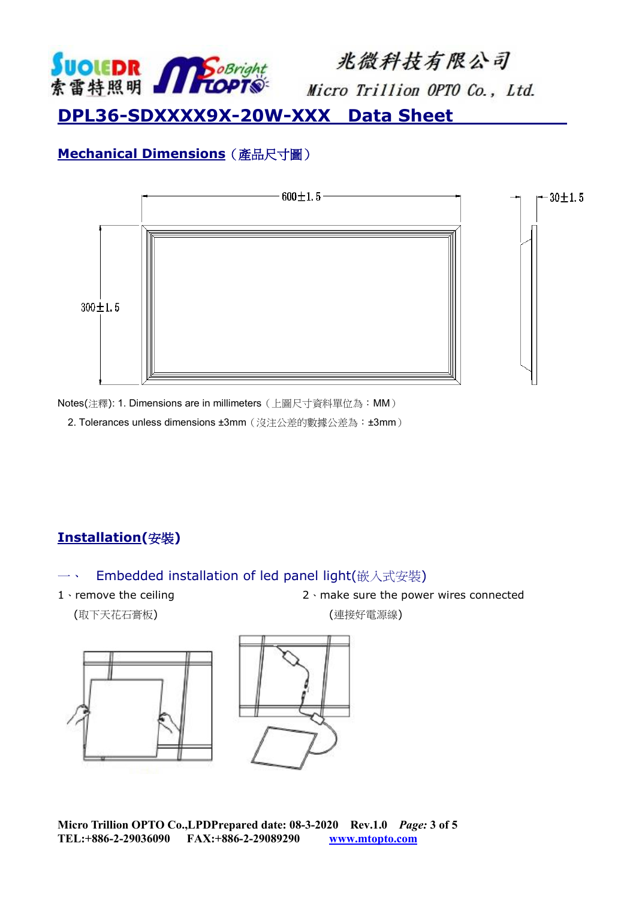

兆微科技有限公司

Micro Trillion OPTO Co., Ltd.

## **DPL36-SDXXXX9X-20W-XXX Data Sheet**

### **Mechanical Dimensions**(產品尺寸圖)



Notes(注釋): 1. Dimensions are in millimeters(上圖尺寸資料單位為:MM)

2. Tolerances unless dimensions ±3mm (沒注公差的數據公差為:±3mm)

## **Installation(**安裝**)**

#### 一、 Embedded installation of led panel light(嵌入式安裝)

1、remove the ceiling 2、make sure the power wires connected

(取下天花石膏板) (連接好電源線)

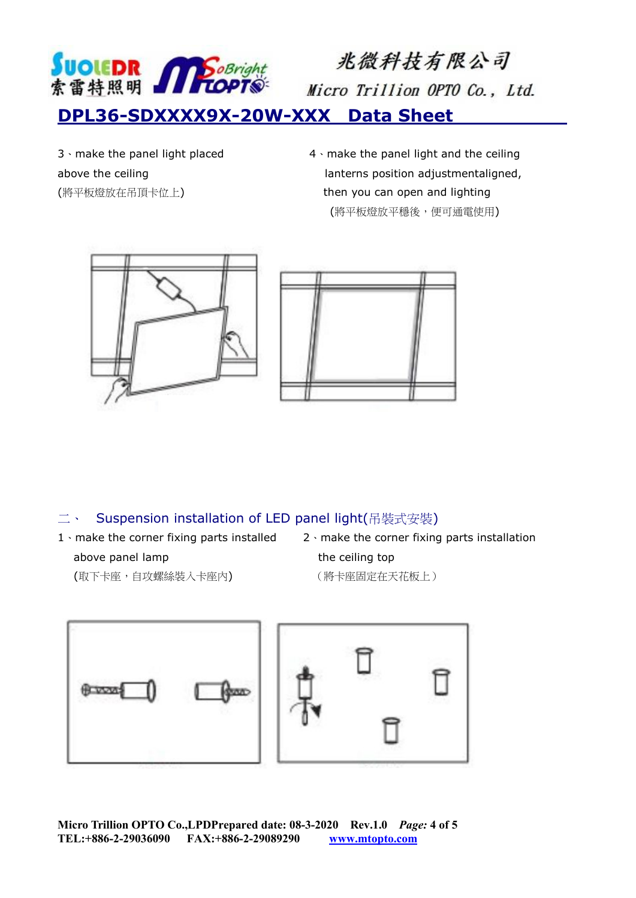

3、make the panel light placed 4、make the panel light and the ceiling above the ceiling lanterns position adjustmentaligned, (將平板燈放在吊頂卡位上) then you can open and lighting (將平板燈放平穩後,便可通電使用)





#### 二、 Suspension installation of LED panel light(吊裝式安裝)

- above panel lamp the ceiling top
- 1、make the corner fixing parts installed 2、make the corner fixing parts installation
	- (取下卡座,自攻螺絲裝入卡座內) (將卡座固定在天花板上)



**Micro Trillion OPTO Co.,LPDPrepared date: 08-3-2020 Rev.1.0** *Page:* **4 of 5 TEL:+886-2-29036090 FAX:+886-2-29089290 [www.mtopto.com](http://www.mtopto.com/)**